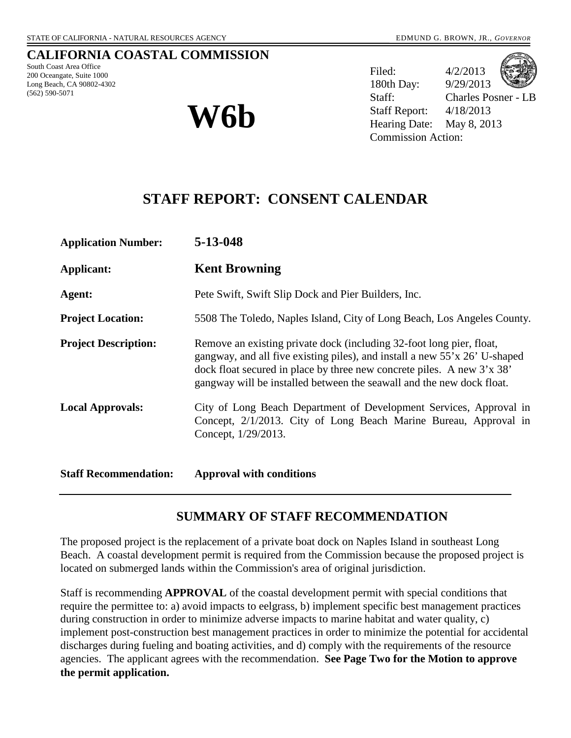## **CALIFORNIA COASTAL COMMISSION**

South Coast Area Office 200 Oceangate, Suite 1000 Long Beach, CA 90802-4302 (562) 590-5071



Filed: 4/2/2013 180th Day: 9/29/2013 Staff: Charles Posner - LB Staff Report: 4/18/2013 **W6b** Staff Report: 4/18/2013<br>
Hearing Date: May 8, 2013 Commission Action:

# **STAFF REPORT: CONSENT CALENDAR**

| <b>Application Number:</b>   | 5-13-048                                                                                                                                                                                                                                                                                              |
|------------------------------|-------------------------------------------------------------------------------------------------------------------------------------------------------------------------------------------------------------------------------------------------------------------------------------------------------|
| Applicant:                   | <b>Kent Browning</b>                                                                                                                                                                                                                                                                                  |
| Agent:                       | Pete Swift, Swift Slip Dock and Pier Builders, Inc.                                                                                                                                                                                                                                                   |
| <b>Project Location:</b>     | 5508 The Toledo, Naples Island, City of Long Beach, Los Angeles County.                                                                                                                                                                                                                               |
| <b>Project Description:</b>  | Remove an existing private dock (including 32-foot long pier, float,<br>gangway, and all five existing piles), and install a new 55'x 26' U-shaped<br>dock float secured in place by three new concrete piles. A new 3'x 38'<br>gangway will be installed between the seawall and the new dock float. |
| <b>Local Approvals:</b>      | City of Long Beach Department of Development Services, Approval in<br>Concept, 2/1/2013. City of Long Beach Marine Bureau, Approval in<br>Concept, 1/29/2013.                                                                                                                                         |
| <b>Staff Recommendation:</b> | <b>Approval with conditions</b>                                                                                                                                                                                                                                                                       |

# **SUMMARY OF STAFF RECOMMENDATION**

The proposed project is the replacement of a private boat dock on Naples Island in southeast Long Beach. A coastal development permit is required from the Commission because the proposed project is located on submerged lands within the Commission's area of original jurisdiction.

Staff is recommending **APPROVAL** of the coastal development permit with special conditions that require the permittee to: a) avoid impacts to eelgrass, b) implement specific best management practices during construction in order to minimize adverse impacts to marine habitat and water quality, c) implement post-construction best management practices in order to minimize the potential for accidental discharges during fueling and boating activities, and d) comply with the requirements of the resource agencies. The applicant agrees with the recommendation. **See Page Two for the Motion to approve the permit application.**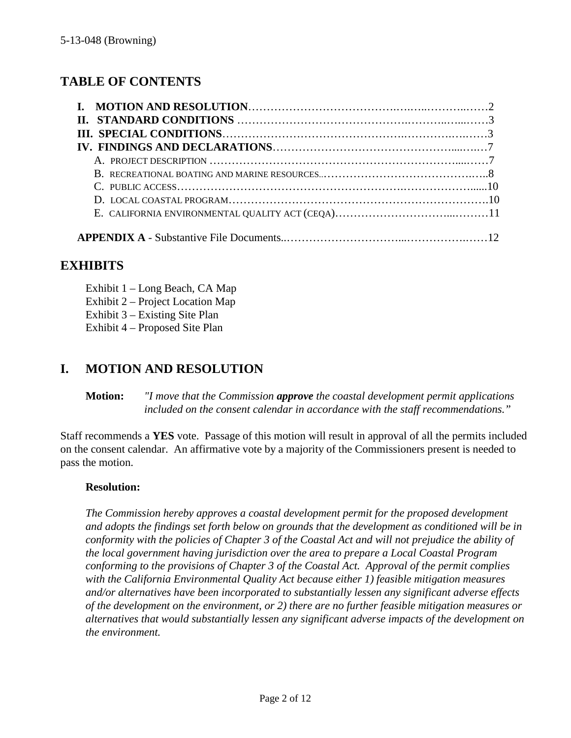# **TABLE OF CONTENTS**

# **EXHIBITS**

Exhibit 1 – Long Beach, CA Map Exhibit 2 – Project Location Map Exhibit 3 – Existing Site Plan Exhibit 4 – Proposed Site Plan

# **I. MOTION AND RESOLUTION**

**Motion:** *"I move that the Commission approve the coastal development permit applications included on the consent calendar in accordance with the staff recommendations."*

Staff recommends a **YES** vote. Passage of this motion will result in approval of all the permits included on the consent calendar. An affirmative vote by a majority of the Commissioners present is needed to pass the motion.

#### **Resolution:**

*The Commission hereby approves a coastal development permit for the proposed development and adopts the findings set forth below on grounds that the development as conditioned will be in conformity with the policies of Chapter 3 of the Coastal Act and will not prejudice the ability of the local government having jurisdiction over the area to prepare a Local Coastal Program conforming to the provisions of Chapter 3 of the Coastal Act. Approval of the permit complies with the California Environmental Quality Act because either 1) feasible mitigation measures and/or alternatives have been incorporated to substantially lessen any significant adverse effects of the development on the environment, or 2) there are no further feasible mitigation measures or alternatives that would substantially lessen any significant adverse impacts of the development on the environment.*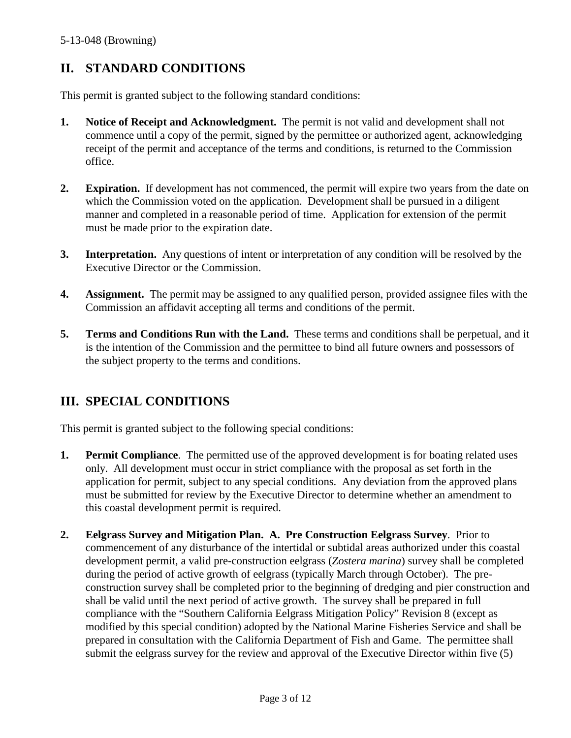# **II. STANDARD CONDITIONS**

This permit is granted subject to the following standard conditions:

- **1. Notice of Receipt and Acknowledgment.** The permit is not valid and development shall not commence until a copy of the permit, signed by the permittee or authorized agent, acknowledging receipt of the permit and acceptance of the terms and conditions, is returned to the Commission office.
- **2. Expiration.** If development has not commenced, the permit will expire two years from the date on which the Commission voted on the application. Development shall be pursued in a diligent manner and completed in a reasonable period of time. Application for extension of the permit must be made prior to the expiration date.
- **3. Interpretation.** Any questions of intent or interpretation of any condition will be resolved by the Executive Director or the Commission.
- **4. Assignment.** The permit may be assigned to any qualified person, provided assignee files with the Commission an affidavit accepting all terms and conditions of the permit.
- **5. Terms and Conditions Run with the Land.** These terms and conditions shall be perpetual, and it is the intention of the Commission and the permittee to bind all future owners and possessors of the subject property to the terms and conditions.

# **III. SPECIAL CONDITIONS**

This permit is granted subject to the following special conditions:

- **1. Permit Compliance**. The permitted use of the approved development is for boating related uses only. All development must occur in strict compliance with the proposal as set forth in the application for permit, subject to any special conditions. Any deviation from the approved plans must be submitted for review by the Executive Director to determine whether an amendment to this coastal development permit is required.
- **2. Eelgrass Survey and Mitigation Plan. A. Pre Construction Eelgrass Survey**. Prior to commencement of any disturbance of the intertidal or subtidal areas authorized under this coastal development permit, a valid pre-construction eelgrass (*Zostera marina*) survey shall be completed during the period of active growth of eelgrass (typically March through October). The preconstruction survey shall be completed prior to the beginning of dredging and pier construction and shall be valid until the next period of active growth. The survey shall be prepared in full compliance with the "Southern California Eelgrass Mitigation Policy" Revision 8 (except as modified by this special condition) adopted by the National Marine Fisheries Service and shall be prepared in consultation with the California Department of Fish and Game. The permittee shall submit the eelgrass survey for the review and approval of the Executive Director within five (5)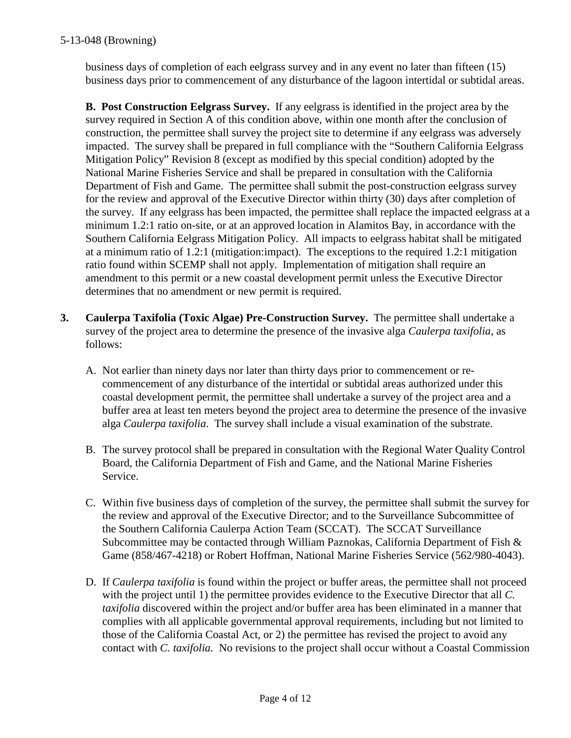business days of completion of each eelgrass survey and in any event no later than fifteen (15) business days prior to commencement of any disturbance of the lagoon intertidal or subtidal areas.

**B. Post Construction Eelgrass Survey.** If any eelgrass is identified in the project area by the survey required in Section A of this condition above, within one month after the conclusion of construction, the permittee shall survey the project site to determine if any eelgrass was adversely impacted. The survey shall be prepared in full compliance with the "Southern California Eelgrass Mitigation Policy" Revision 8 (except as modified by this special condition) adopted by the National Marine Fisheries Service and shall be prepared in consultation with the California Department of Fish and Game. The permittee shall submit the post-construction eelgrass survey for the review and approval of the Executive Director within thirty (30) days after completion of the survey. If any eelgrass has been impacted, the permittee shall replace the impacted eelgrass at a minimum 1.2:1 ratio on-site, or at an approved location in Alamitos Bay, in accordance with the Southern California Eelgrass Mitigation Policy. All impacts to eelgrass habitat shall be mitigated at a minimum ratio of 1.2:1 (mitigation:impact). The exceptions to the required 1.2:1 mitigation ratio found within SCEMP shall not apply. Implementation of mitigation shall require an amendment to this permit or a new coastal development permit unless the Executive Director determines that no amendment or new permit is required.

- **3. Caulerpa Taxifolia (Toxic Algae) Pre-Construction Survey.** The permittee shall undertake a survey of the project area to determine the presence of the invasive alga *Caulerpa taxifolia,* as follows:
	- A. Not earlier than ninety days nor later than thirty days prior to commencement or recommencement of any disturbance of the intertidal or subtidal areas authorized under this coastal development permit, the permittee shall undertake a survey of the project area and a buffer area at least ten meters beyond the project area to determine the presence of the invasive alga *Caulerpa taxifolia*. The survey shall include a visual examination of the substrate.
	- B. The survey protocol shall be prepared in consultation with the Regional Water Quality Control Board, the California Department of Fish and Game, and the National Marine Fisheries Service.
	- C. Within five business days of completion of the survey, the permittee shall submit the survey for the review and approval of the Executive Director; and to the Surveillance Subcommittee of the Southern California Caulerpa Action Team (SCCAT). The SCCAT Surveillance Subcommittee may be contacted through William Paznokas, California Department of Fish  $\&$ Game (858/467-4218) or Robert Hoffman, National Marine Fisheries Service (562/980-4043).
	- D. If *Caulerpa taxifolia* is found within the project or buffer areas, the permittee shall not proceed with the project until 1) the permittee provides evidence to the Executive Director that all *C. taxifolia* discovered within the project and/or buffer area has been eliminated in a manner that complies with all applicable governmental approval requirements, including but not limited to those of the California Coastal Act, or 2) the permittee has revised the project to avoid any contact with *C. taxifolia*. No revisions to the project shall occur without a Coastal Commission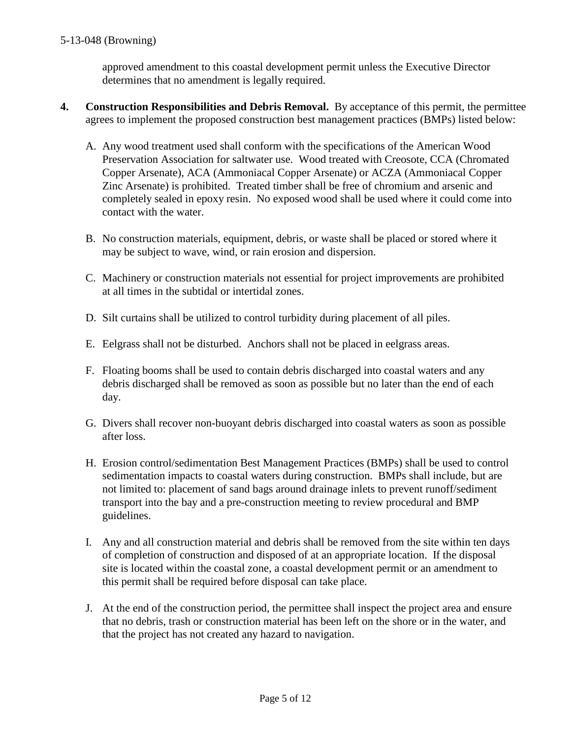approved amendment to this coastal development permit unless the Executive Director determines that no amendment is legally required.

- **4. Construction Responsibilities and Debris Removal.** By acceptance of this permit, the permittee agrees to implement the proposed construction best management practices (BMPs) listed below:
	- A. Any wood treatment used shall conform with the specifications of the American Wood Preservation Association for saltwater use. Wood treated with Creosote, CCA (Chromated Copper Arsenate), ACA (Ammoniacal Copper Arsenate) or ACZA (Ammoniacal Copper Zinc Arsenate) is prohibited. Treated timber shall be free of chromium and arsenic and completely sealed in epoxy resin. No exposed wood shall be used where it could come into contact with the water.
	- B. No construction materials, equipment, debris, or waste shall be placed or stored where it may be subject to wave, wind, or rain erosion and dispersion.
	- C. Machinery or construction materials not essential for project improvements are prohibited at all times in the subtidal or intertidal zones.
	- D. Silt curtains shall be utilized to control turbidity during placement of all piles.
	- E. Eelgrass shall not be disturbed. Anchors shall not be placed in eelgrass areas.
	- F. Floating booms shall be used to contain debris discharged into coastal waters and any debris discharged shall be removed as soon as possible but no later than the end of each day.
	- G. Divers shall recover non-buoyant debris discharged into coastal waters as soon as possible after loss.
	- H. Erosion control/sedimentation Best Management Practices (BMPs) shall be used to control sedimentation impacts to coastal waters during construction. BMPs shall include, but are not limited to: placement of sand bags around drainage inlets to prevent runoff/sediment transport into the bay and a pre-construction meeting to review procedural and BMP guidelines.
	- I. Any and all construction material and debris shall be removed from the site within ten days of completion of construction and disposed of at an appropriate location. If the disposal site is located within the coastal zone, a coastal development permit or an amendment to this permit shall be required before disposal can take place.
	- J. At the end of the construction period, the permittee shall inspect the project area and ensure that no debris, trash or construction material has been left on the shore or in the water, and that the project has not created any hazard to navigation.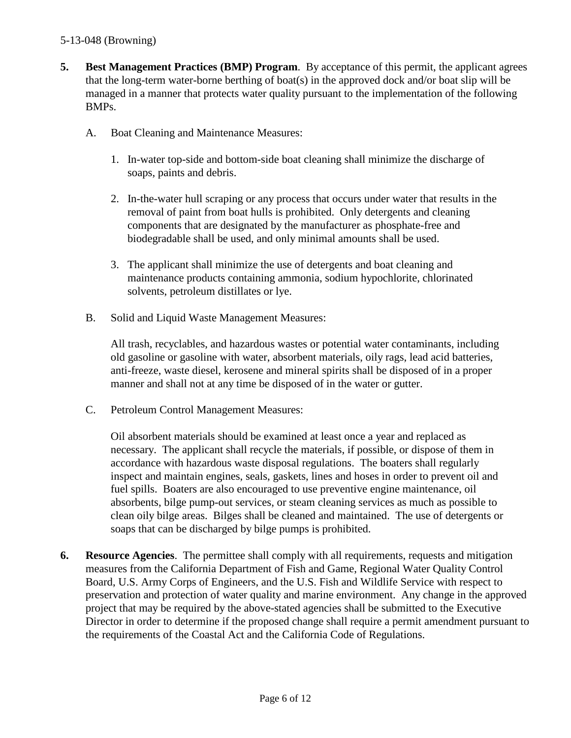## 5-13-048 (Browning)

- **5. Best Management Practices (BMP) Program**. By acceptance of this permit, the applicant agrees that the long-term water-borne berthing of boat(s) in the approved dock and/or boat slip will be managed in a manner that protects water quality pursuant to the implementation of the following BMPs.
	- A. Boat Cleaning and Maintenance Measures:
		- 1. In-water top-side and bottom-side boat cleaning shall minimize the discharge of soaps, paints and debris.
		- 2. In-the-water hull scraping or any process that occurs under water that results in the removal of paint from boat hulls is prohibited. Only detergents and cleaning components that are designated by the manufacturer as phosphate-free and biodegradable shall be used, and only minimal amounts shall be used.
		- 3. The applicant shall minimize the use of detergents and boat cleaning and maintenance products containing ammonia, sodium hypochlorite, chlorinated solvents, petroleum distillates or lye.
	- B. Solid and Liquid Waste Management Measures:

All trash, recyclables, and hazardous wastes or potential water contaminants, including old gasoline or gasoline with water, absorbent materials, oily rags, lead acid batteries, anti-freeze, waste diesel, kerosene and mineral spirits shall be disposed of in a proper manner and shall not at any time be disposed of in the water or gutter.

C. Petroleum Control Management Measures:

Oil absorbent materials should be examined at least once a year and replaced as necessary. The applicant shall recycle the materials, if possible, or dispose of them in accordance with hazardous waste disposal regulations. The boaters shall regularly inspect and maintain engines, seals, gaskets, lines and hoses in order to prevent oil and fuel spills. Boaters are also encouraged to use preventive engine maintenance, oil absorbents, bilge pump-out services, or steam cleaning services as much as possible to clean oily bilge areas. Bilges shall be cleaned and maintained. The use of detergents or soaps that can be discharged by bilge pumps is prohibited.

**6. Resource Agencies**. The permittee shall comply with all requirements, requests and mitigation measures from the California Department of Fish and Game, Regional Water Quality Control Board, U.S. Army Corps of Engineers, and the U.S. Fish and Wildlife Service with respect to preservation and protection of water quality and marine environment. Any change in the approved project that may be required by the above-stated agencies shall be submitted to the Executive Director in order to determine if the proposed change shall require a permit amendment pursuant to the requirements of the Coastal Act and the California Code of Regulations.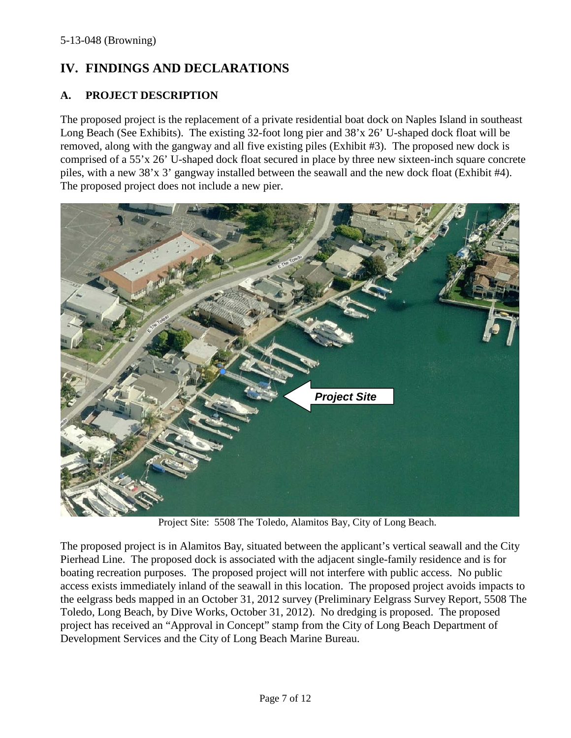# **IV. FINDINGS AND DECLARATIONS**

## **A. PROJECT DESCRIPTION**

The proposed project is the replacement of a private residential boat dock on Naples Island in southeast Long Beach (See Exhibits). The existing 32-foot long pier and 38'x 26' U-shaped dock float will be removed, along with the gangway and all five existing piles (Exhibit #3). The proposed new dock is comprised of a 55'x 26' U-shaped dock float secured in place by three new sixteen-inch square concrete piles, with a new 38'x 3' gangway installed between the seawall and the new dock float (Exhibit #4). The proposed project does not include a new pier.



Project Site: 5508 The Toledo, Alamitos Bay, City of Long Beach.

The proposed project is in Alamitos Bay, situated between the applicant's vertical seawall and the City Pierhead Line. The proposed dock is associated with the adjacent single-family residence and is for boating recreation purposes. The proposed project will not interfere with public access. No public access exists immediately inland of the seawall in this location. The proposed project avoids impacts to the eelgrass beds mapped in an October 31, 2012 survey (Preliminary Eelgrass Survey Report, 5508 The Toledo, Long Beach, by Dive Works, October 31, 2012). No dredging is proposed. The proposed project has received an "Approval in Concept" stamp from the City of Long Beach Department of Development Services and the City of Long Beach Marine Bureau.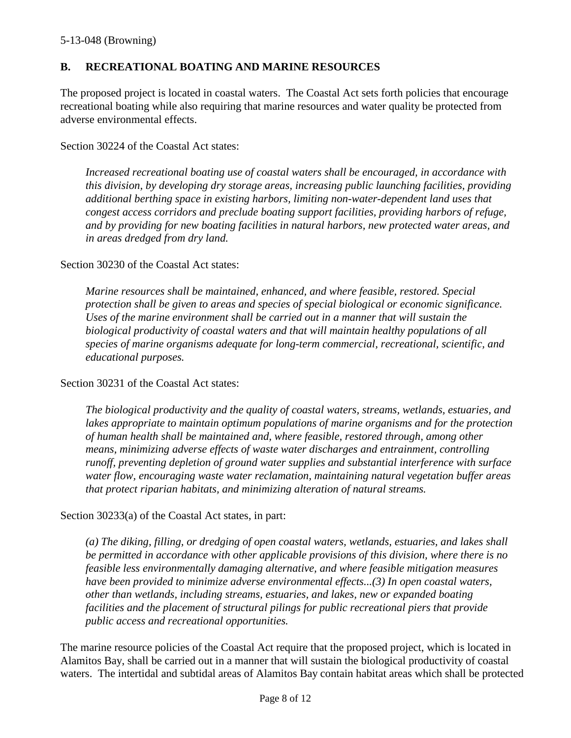## **B. RECREATIONAL BOATING AND MARINE RESOURCES**

The proposed project is located in coastal waters. The Coastal Act sets forth policies that encourage recreational boating while also requiring that marine resources and water quality be protected from adverse environmental effects.

#### Section 30224 of the Coastal Act states:

*Increased recreational boating use of coastal waters shall be encouraged, in accordance with this division, by developing dry storage areas, increasing public launching facilities, providing additional berthing space in existing harbors, limiting non-water-dependent land uses that congest access corridors and preclude boating support facilities, providing harbors of refuge, and by providing for new boating facilities in natural harbors, new protected water areas, and in areas dredged from dry land.*

#### Section 30230 of the Coastal Act states:

*Marine resources shall be maintained, enhanced, and where feasible, restored. Special protection shall be given to areas and species of special biological or economic significance. Uses of the marine environment shall be carried out in a manner that will sustain the biological productivity of coastal waters and that will maintain healthy populations of all species of marine organisms adequate for long-term commercial, recreational, scientific, and educational purposes.*

#### Section 30231 of the Coastal Act states:

*The biological productivity and the quality of coastal waters, streams, wetlands, estuaries, and*  lakes appropriate to maintain optimum populations of marine organisms and for the protection *of human health shall be maintained and, where feasible, restored through, among other means, minimizing adverse effects of waste water discharges and entrainment, controlling runoff, preventing depletion of ground water supplies and substantial interference with surface water flow, encouraging waste water reclamation, maintaining natural vegetation buffer areas that protect riparian habitats, and minimizing alteration of natural streams.*

#### Section 30233(a) of the Coastal Act states, in part:

*(a) The diking, filling, or dredging of open coastal waters, wetlands, estuaries, and lakes shall be permitted in accordance with other applicable provisions of this division, where there is no feasible less environmentally damaging alternative, and where feasible mitigation measures have been provided to minimize adverse environmental effects...(3) In open coastal waters, other than wetlands, including streams, estuaries, and lakes, new or expanded boating facilities and the placement of structural pilings for public recreational piers that provide public access and recreational opportunities.*

The marine resource policies of the Coastal Act require that the proposed project, which is located in Alamitos Bay, shall be carried out in a manner that will sustain the biological productivity of coastal waters. The intertidal and subtidal areas of Alamitos Bay contain habitat areas which shall be protected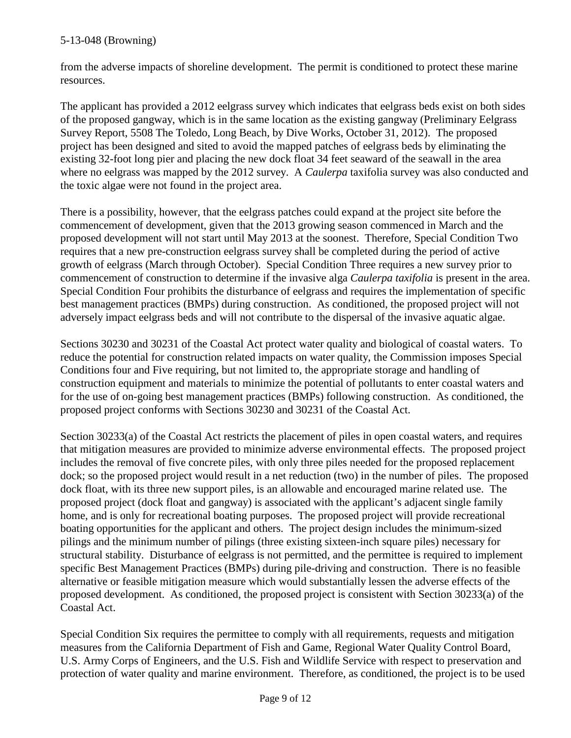## 5-13-048 (Browning)

from the adverse impacts of shoreline development. The permit is conditioned to protect these marine resources.

The applicant has provided a 2012 eelgrass survey which indicates that eelgrass beds exist on both sides of the proposed gangway, which is in the same location as the existing gangway (Preliminary Eelgrass Survey Report, 5508 The Toledo, Long Beach, by Dive Works, October 31, 2012). The proposed project has been designed and sited to avoid the mapped patches of eelgrass beds by eliminating the existing 32-foot long pier and placing the new dock float 34 feet seaward of the seawall in the area where no eelgrass was mapped by the 2012 survey. A *Caulerpa* taxifolia survey was also conducted and the toxic algae were not found in the project area.

There is a possibility, however, that the eelgrass patches could expand at the project site before the commencement of development, given that the 2013 growing season commenced in March and the proposed development will not start until May 2013 at the soonest. Therefore, Special Condition Two requires that a new pre-construction eelgrass survey shall be completed during the period of active growth of eelgrass (March through October). Special Condition Three requires a new survey prior to commencement of construction to determine if the invasive alga *Caulerpa taxifolia* is present in the area. Special Condition Four prohibits the disturbance of eelgrass and requires the implementation of specific best management practices (BMPs) during construction. As conditioned, the proposed project will not adversely impact eelgrass beds and will not contribute to the dispersal of the invasive aquatic algae.

Sections 30230 and 30231 of the Coastal Act protect water quality and biological of coastal waters. To reduce the potential for construction related impacts on water quality, the Commission imposes Special Conditions four and Five requiring, but not limited to, the appropriate storage and handling of construction equipment and materials to minimize the potential of pollutants to enter coastal waters and for the use of on-going best management practices (BMPs) following construction. As conditioned, the proposed project conforms with Sections 30230 and 30231 of the Coastal Act.

Section 30233(a) of the Coastal Act restricts the placement of piles in open coastal waters, and requires that mitigation measures are provided to minimize adverse environmental effects. The proposed project includes the removal of five concrete piles, with only three piles needed for the proposed replacement dock; so the proposed project would result in a net reduction (two) in the number of piles. The proposed dock float, with its three new support piles, is an allowable and encouraged marine related use. The proposed project (dock float and gangway) is associated with the applicant's adjacent single family home, and is only for recreational boating purposes. The proposed project will provide recreational boating opportunities for the applicant and others. The project design includes the minimum-sized pilings and the minimum number of pilings (three existing sixteen-inch square piles) necessary for structural stability. Disturbance of eelgrass is not permitted, and the permittee is required to implement specific Best Management Practices (BMPs) during pile-driving and construction. There is no feasible alternative or feasible mitigation measure which would substantially lessen the adverse effects of the proposed development. As conditioned, the proposed project is consistent with Section 30233(a) of the Coastal Act.

Special Condition Six requires the permittee to comply with all requirements, requests and mitigation measures from the California Department of Fish and Game, Regional Water Quality Control Board, U.S. Army Corps of Engineers, and the U.S. Fish and Wildlife Service with respect to preservation and protection of water quality and marine environment. Therefore, as conditioned, the project is to be used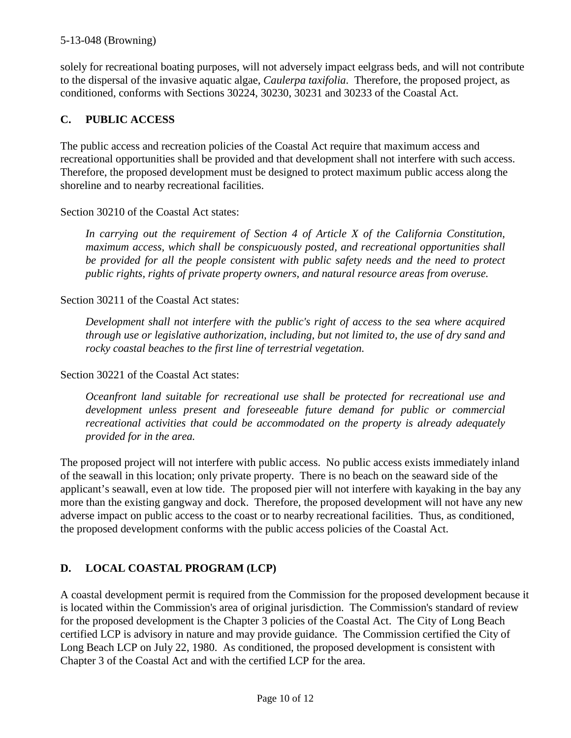## 5-13-048 (Browning)

solely for recreational boating purposes, will not adversely impact eelgrass beds, and will not contribute to the dispersal of the invasive aquatic algae, *Caulerpa taxifolia*. Therefore, the proposed project, as conditioned, conforms with Sections 30224, 30230, 30231 and 30233 of the Coastal Act.

## **C. PUBLIC ACCESS**

The public access and recreation policies of the Coastal Act require that maximum access and recreational opportunities shall be provided and that development shall not interfere with such access. Therefore, the proposed development must be designed to protect maximum public access along the shoreline and to nearby recreational facilities.

Section 30210 of the Coastal Act states:

*In carrying out the requirement of Section 4 of Article X of the California Constitution, maximum access, which shall be conspicuously posted, and recreational opportunities shall be provided for all the people consistent with public safety needs and the need to protect public rights, rights of private property owners, and natural resource areas from overuse.*

Section 30211 of the Coastal Act states:

*Development shall not interfere with the public's right of access to the sea where acquired through use or legislative authorization, including, but not limited to, the use of dry sand and rocky coastal beaches to the first line of terrestrial vegetation.*

Section 30221 of the Coastal Act states:

*Oceanfront land suitable for recreational use shall be protected for recreational use and development unless present and foreseeable future demand for public or commercial recreational activities that could be accommodated on the property is already adequately provided for in the area.*

The proposed project will not interfere with public access. No public access exists immediately inland of the seawall in this location; only private property. There is no beach on the seaward side of the applicant's seawall, even at low tide. The proposed pier will not interfere with kayaking in the bay any more than the existing gangway and dock. Therefore, the proposed development will not have any new adverse impact on public access to the coast or to nearby recreational facilities. Thus, as conditioned, the proposed development conforms with the public access policies of the Coastal Act.

# **D. LOCAL COASTAL PROGRAM (LCP)**

A coastal development permit is required from the Commission for the proposed development because it is located within the Commission's area of original jurisdiction. The Commission's standard of review for the proposed development is the Chapter 3 policies of the Coastal Act. The City of Long Beach certified LCP is advisory in nature and may provide guidance. The Commission certified the City of Long Beach LCP on July 22, 1980. As conditioned, the proposed development is consistent with Chapter 3 of the Coastal Act and with the certified LCP for the area.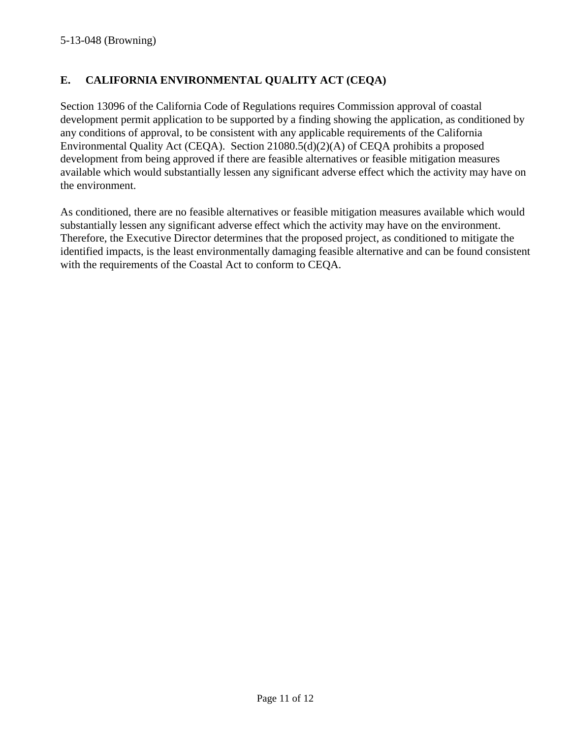## **E. CALIFORNIA ENVIRONMENTAL QUALITY ACT (CEQA)**

Section 13096 of the California Code of Regulations requires Commission approval of coastal development permit application to be supported by a finding showing the application, as conditioned by any conditions of approval, to be consistent with any applicable requirements of the California Environmental Quality Act (CEQA). Section 21080.5(d)(2)(A) of CEQA prohibits a proposed development from being approved if there are feasible alternatives or feasible mitigation measures available which would substantially lessen any significant adverse effect which the activity may have on the environment.

As conditioned, there are no feasible alternatives or feasible mitigation measures available which would substantially lessen any significant adverse effect which the activity may have on the environment. Therefore, the Executive Director determines that the proposed project, as conditioned to mitigate the identified impacts, is the least environmentally damaging feasible alternative and can be found consistent with the requirements of the Coastal Act to conform to CEQA.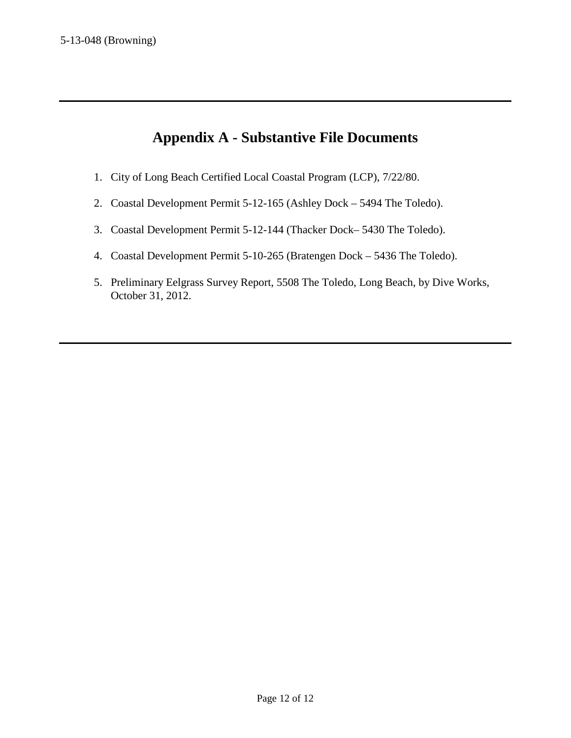# **Appendix A - Substantive File Documents**

- 1. City of Long Beach Certified Local Coastal Program (LCP), 7/22/80.
- 2. Coastal Development Permit 5-12-165 (Ashley Dock 5494 The Toledo).
- 3. Coastal Development Permit 5-12-144 (Thacker Dock– 5430 The Toledo).
- 4. Coastal Development Permit 5-10-265 (Bratengen Dock 5436 The Toledo).
- 5. Preliminary Eelgrass Survey Report, 5508 The Toledo, Long Beach, by Dive Works, October 31, 2012.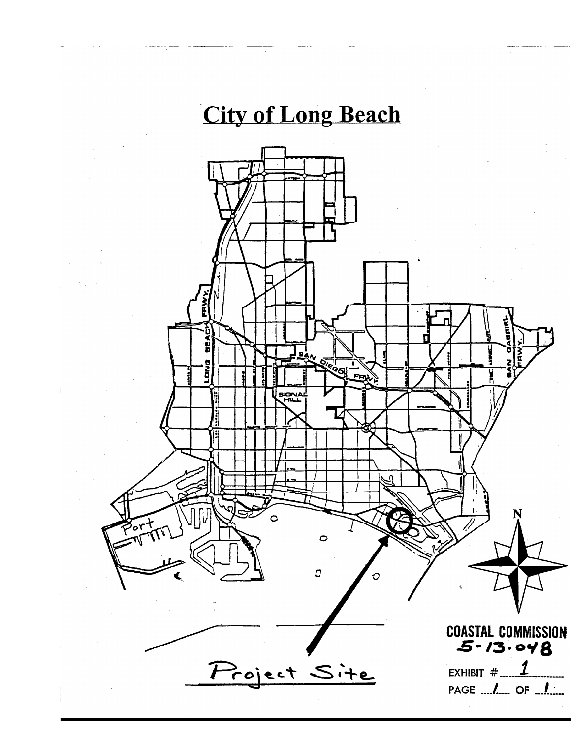# **City of Long Beach**

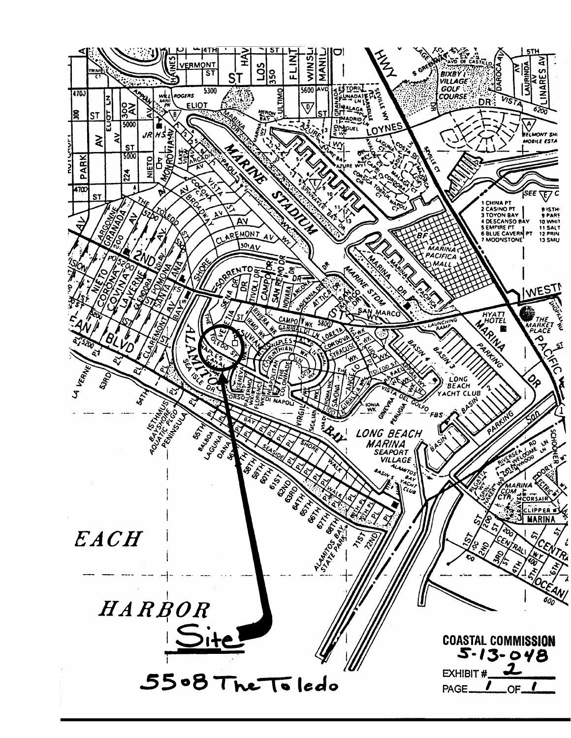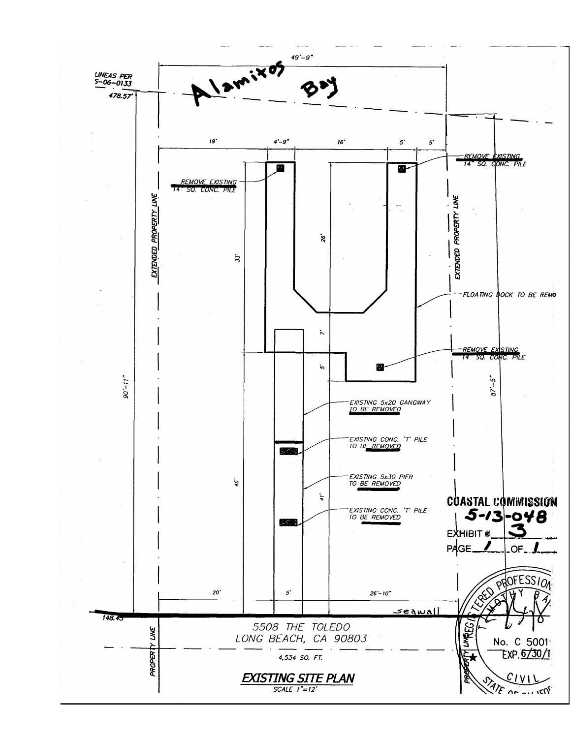